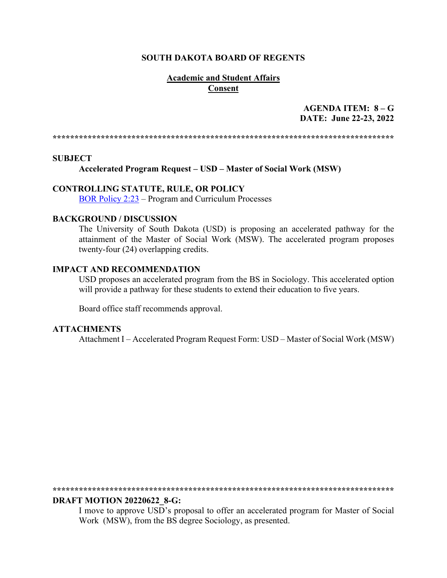#### **SOUTH DAKOTA BOARD OF REGENTS**

# **Academic and Student Affairs Consent**

# AGENDA ITEM:  $8 - G$ DATE: June 22-23, 2022

#### **SUBJECT**

Accelerated Program Request – USD – Master of Social Work (MSW)

## **CONTROLLING STATUTE, RULE, OR POLICY**

**BOR Policy 2:23** – Program and Curriculum Processes

## **BACKGROUND / DISCUSSION**

The University of South Dakota (USD) is proposing an accelerated pathway for the attainment of the Master of Social Work (MSW). The accelerated program proposes twenty-four (24) overlapping credits.

### **IMPACT AND RECOMMENDATION**

USD proposes an accelerated program from the BS in Sociology. This accelerated option will provide a pathway for these students to extend their education to five years.

Board office staff recommends approval.

# **ATTACHMENTS**

Attachment I – Accelerated Program Request Form: USD – Master of Social Work (MSW)

#### **DRAFT MOTION 20220622 8-G:**

I move to approve USD's proposal to offer an accelerated program for Master of Social Work (MSW), from the BS degree Sociology, as presented.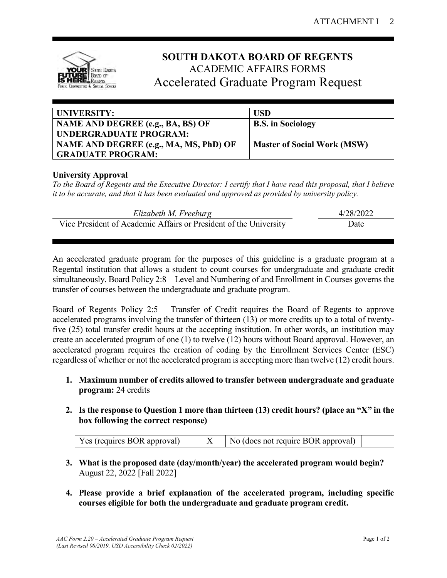

# **SOUTH DAKOTA BOARD OF REGENTS** ACADEMIC AFFAIRS FORMS Accelerated Graduate Program Request

| UNIVERSITY:                            | <b>USD</b>                         |
|----------------------------------------|------------------------------------|
| NAME AND DEGREE (e.g., BA, BS) OF      | <b>B.S.</b> in Sociology           |
| UNDERGRADUATE PROGRAM:                 |                                    |
| NAME AND DEGREE (e.g., MA, MS, PhD) OF | <b>Master of Social Work (MSW)</b> |
| <b>GRADUATE PROGRAM:</b>               |                                    |

# **University Approval**

*To the Board of Regents and the Executive Director: I certify that I have read this proposal, that I believe it to be accurate, and that it has been evaluated and approved as provided by university policy.*

| Elizabeth M. Freeburg                                             | 4/28/2022 |  |
|-------------------------------------------------------------------|-----------|--|
| Vice President of Academic Affairs or President of the University | Date      |  |

An accelerated graduate program for the purposes of this guideline is a graduate program at a Regental institution that allows a student to count courses for undergraduate and graduate credit simultaneously. Board Policy 2:8 – Level and Numbering of and Enrollment in Courses governs the transfer of courses between the undergraduate and graduate program.

Board of Regents Policy 2:5 – Transfer of Credit requires the Board of Regents to approve accelerated programs involving the transfer of thirteen (13) or more credits up to a total of twentyfive (25) total transfer credit hours at the accepting institution. In other words, an institution may create an accelerated program of one (1) to twelve (12) hours without Board approval. However, an accelerated program requires the creation of coding by the Enrollment Services Center (ESC) regardless of whether or not the accelerated program is accepting more than twelve (12) credit hours.

- **1. Maximum number of credits allowed to transfer between undergraduate and graduate program:** 24 credits
- **2. Is the response to Question 1 more than thirteen (13) credit hours? (place an "X" in the box following the correct response)**

|  | Yes (requires BOR approval) $\vert$ X $\vert$ No (does not require BOR approval) |  |
|--|----------------------------------------------------------------------------------|--|
|  |                                                                                  |  |

- **3. What is the proposed date (day/month/year) the accelerated program would begin?** August 22, 2022 [Fall 2022]
- **4. Please provide a brief explanation of the accelerated program, including specific courses eligible for both the undergraduate and graduate program credit.**